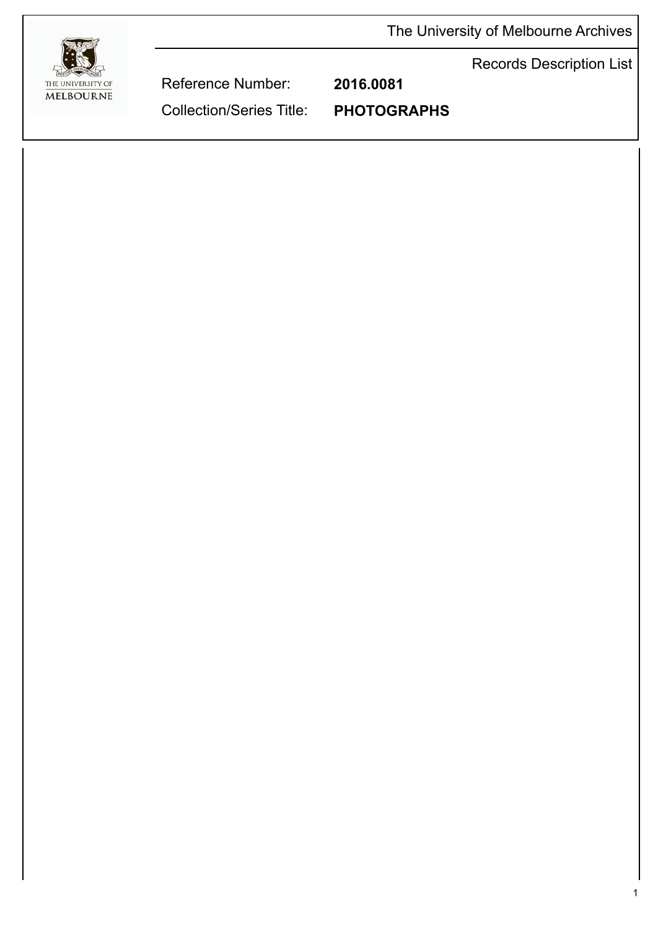The University of Melbourne Archives



Records Description List

Reference Number: **2016.0081**

Collection/Series Title: **PHOTOGRAPHS**

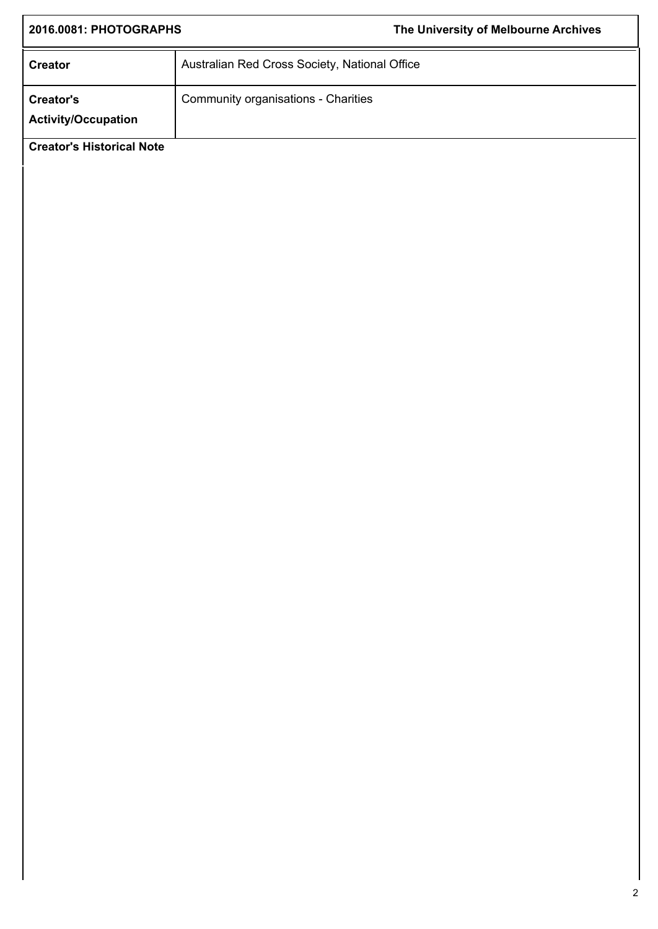| 2016.0081: PHOTOGRAPHS                        | The University of Melbourne Archives |
|-----------------------------------------------|--------------------------------------|
| Australian Red Cross Society, National Office |                                      |
| Community organisations - Charities           |                                      |
|                                               |                                      |
|                                               |                                      |
|                                               |                                      |
|                                               |                                      |
|                                               |                                      |
|                                               |                                      |
|                                               |                                      |
|                                               |                                      |
|                                               |                                      |
|                                               |                                      |
|                                               |                                      |
|                                               |                                      |
|                                               |                                      |
|                                               |                                      |
|                                               |                                      |
|                                               |                                      |
|                                               |                                      |
|                                               |                                      |
|                                               |                                      |
|                                               |                                      |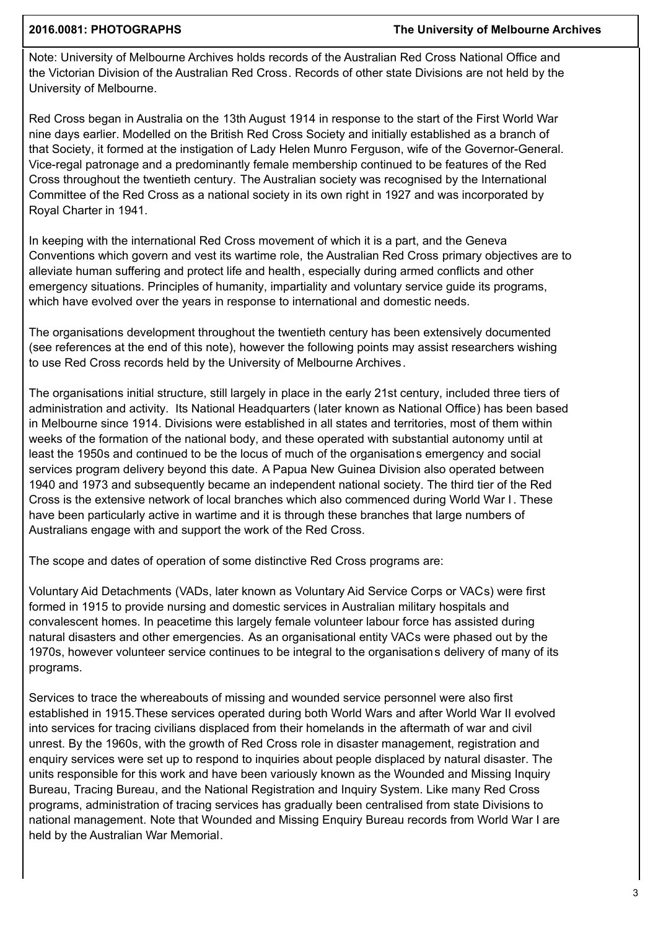## **2016.0081: PHOTOGRAPHS The University of Melbourne Archives**

Note: University of Melbourne Archives holds records of the Australian Red Cross National Office and the Victorian Division of the Australian Red Cross. Records of other state Divisions are not held by the University of Melbourne.

Red Cross began in Australia on the 13th August 1914 in response to the start of the First World War nine days earlier. Modelled on the British Red Cross Society and initially established as a branch of that Society, it formed at the instigation of Lady Helen Munro Ferguson, wife of the Governor-General. Vice-regal patronage and a predominantly female membership continued to be features of the Red Cross throughout the twentieth century. The Australian society was recognised by the International Committee of the Red Cross as a national society in its own right in 1927 and was incorporated by Royal Charter in 1941.

In keeping with the international Red Cross movement of which it is a part, and the Geneva Conventions which govern and vest its wartime role, the Australian Red Cross primary objectives are to alleviate human suffering and protect life and health, especially during armed conflicts and other emergency situations. Principles of humanity, impartiality and voluntary service guide its programs, which have evolved over the years in response to international and domestic needs.

The organisations development throughout the twentieth century has been extensively documented (see references at the end of this note), however the following points may assist researchers wishing to use Red Cross records held by the University of Melbourne Archives.

The organisations initial structure, still largely in place in the early 21st century, included three tiers of administration and activity. Its National Headquarters (later known as National Office) has been based in Melbourne since 1914. Divisions were established in all states and territories, most of them within weeks of the formation of the national body, and these operated with substantial autonomy until at least the 1950s and continued to be the locus of much of the organisations emergency and social services program delivery beyond this date. A Papua New Guinea Division also operated between 1940 and 1973 and subsequently became an independent national society. The third tier of the Red Cross is the extensive network of local branches which also commenced during World War I . These have been particularly active in wartime and it is through these branches that large numbers of Australians engage with and support the work of the Red Cross.

The scope and dates of operation of some distinctive Red Cross programs are:

Voluntary Aid Detachments (VADs, later known as Voluntary Aid Service Corps or VACs) were first formed in 1915 to provide nursing and domestic services in Australian military hospitals and convalescent homes. In peacetime this largely female volunteer labour force has assisted during natural disasters and other emergencies. As an organisational entity VACs were phased out by the 1970s, however volunteer service continues to be integral to the organisations delivery of many of its programs.

Services to trace the whereabouts of missing and wounded service personnel were also first established in 1915.These services operated during both World Wars and after World War II evolved into services for tracing civilians displaced from their homelands in the aftermath of war and civil unrest. By the 1960s, with the growth of Red Cross role in disaster management, registration and enquiry services were set up to respond to inquiries about people displaced by natural disaster. The units responsible for this work and have been variously known as the Wounded and Missing Inquiry Bureau, Tracing Bureau, and the National Registration and Inquiry System. Like many Red Cross programs, administration of tracing services has gradually been centralised from state Divisions to national management. Note that Wounded and Missing Enquiry Bureau records from World War I are held by the Australian War Memorial.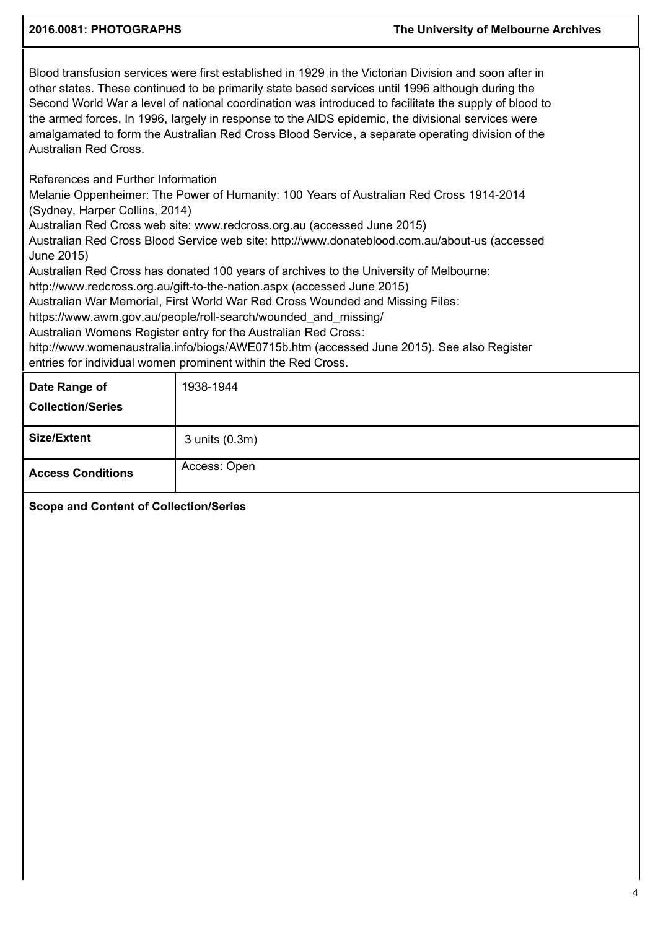Blood transfusion services were first established in 1929 in the Victorian Division and soon after in other states. These continued to be primarily state based services until 1996 although during the Second World War a level of national coordination was introduced to facilitate the supply of blood to the armed forces. In 1996, largely in response to the AIDS epidemic, the divisional services were amalgamated to form the Australian Red Cross Blood Service, a separate operating division of the Australian Red Cross.

References and Further Information

Melanie Oppenheimer: The Power of Humanity: 100 Years of Australian Red Cross 1914-2014 (Sydney, Harper Collins, 2014)

Australian Red Cross web site: www.redcross.org.au (accessed June 2015)

Australian Red Cross Blood Service web site: http://www.donateblood.com.au/about-us (accessed June 2015)

Australian Red Cross has donated 100 years of archives to the University of Melbourne:

http://www.redcross.org.au/gift-to-the-nation.aspx (accessed June 2015)

Australian War Memorial, First World War Red Cross Wounded and Missing Files:

https://www.awm.gov.au/people/roll-search/wounded\_and\_missing/

Australian Womens Register entry for the Australian Red Cross:

http://www.womenaustralia.info/biogs/AWE0715b.htm (accessed June 2015). See also Register entries for individual women prominent within the Red Cross.

| Date Range of<br><b>Collection/Series</b> | 1938-1944      |
|-------------------------------------------|----------------|
| <b>Size/Extent</b>                        | 3 units (0.3m) |
| <b>Access Conditions</b>                  | Access: Open   |

**Scope and Content of Collection/Series**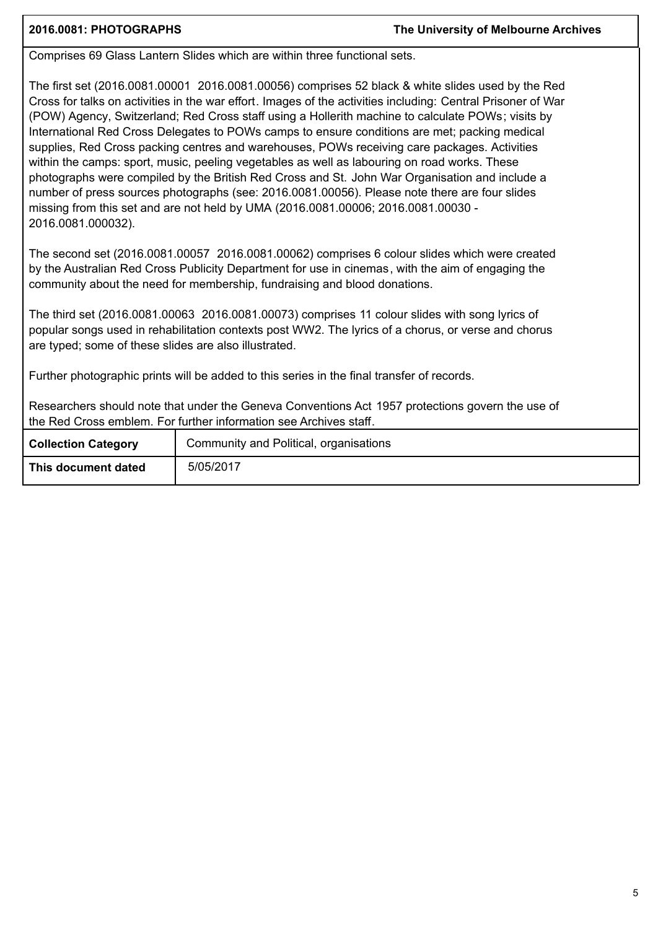Comprises 69 Glass Lantern Slides which are within three functional sets.

The first set (2016.0081.00001 2016.0081.00056) comprises 52 black & white slides used by the Red Cross for talks on activities in the war effort. Images of the activities including: Central Prisoner of War (POW) Agency, Switzerland; Red Cross staff using a Hollerith machine to calculate POWs; visits by International Red Cross Delegates to POWs camps to ensure conditions are met; packing medical supplies, Red Cross packing centres and warehouses, POWs receiving care packages. Activities within the camps: sport, music, peeling vegetables as well as labouring on road works. These photographs were compiled by the British Red Cross and St. John War Organisation and include a number of press sources photographs (see: 2016.0081.00056). Please note there are four slides missing from this set and are not held by UMA (2016.0081.00006; 2016.0081.00030 - 2016.0081.000032).

The second set (2016.0081.00057 2016.0081.00062) comprises 6 colour slides which were created by the Australian Red Cross Publicity Department for use in cinemas, with the aim of engaging the community about the need for membership, fundraising and blood donations.

The third set (2016.0081.00063 2016.0081.00073) comprises 11 colour slides with song lyrics of popular songs used in rehabilitation contexts post WW2. The lyrics of a chorus, or verse and chorus are typed; some of these slides are also illustrated.

Further photographic prints will be added to this series in the final transfer of records.

Researchers should note that under the Geneva Conventions Act 1957 protections govern the use of the Red Cross emblem. For further information see Archives staff.

| <b>Collection Category</b> | Community and Political, organisations |
|----------------------------|----------------------------------------|
| This document dated        | 5/05/2017                              |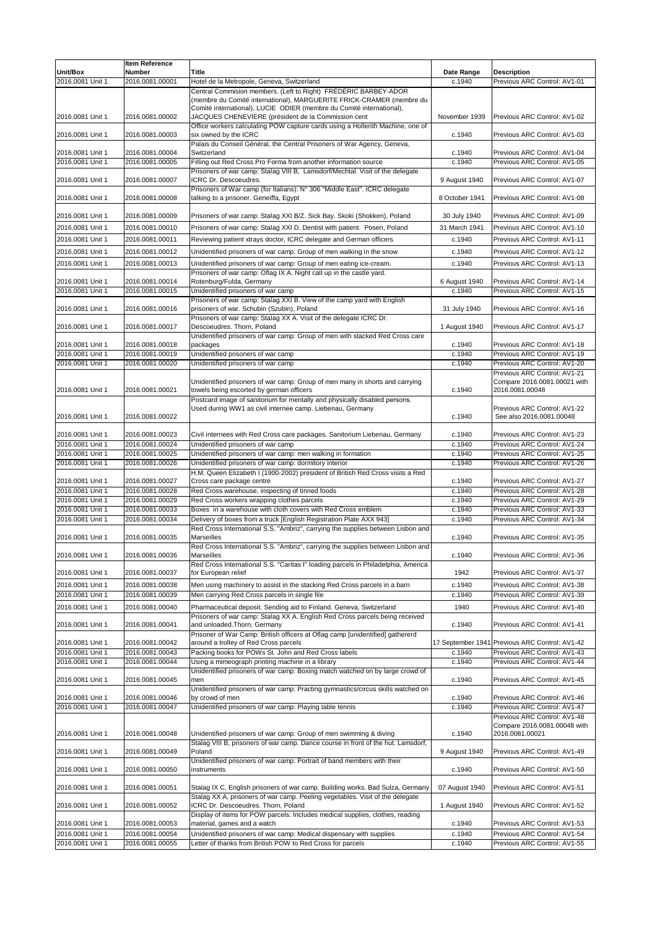|                                      | <b>Item Reference</b>              |                                                                                                                                          |                   |                                                                     |
|--------------------------------------|------------------------------------|------------------------------------------------------------------------------------------------------------------------------------------|-------------------|---------------------------------------------------------------------|
| Unit/Box                             | <b>Number</b>                      | <b>Title</b>                                                                                                                             | <b>Date Range</b> | <b>Description</b>                                                  |
| 2016.0081 Unit 1                     | 2016.0081.00001                    | Hotel de la Metropole, Geneva, Switzerland<br>Central Commision members. (Left to Right) FRÉDÉRIC BARBEY-ADOR                            | c.1940            | Previous ARC Control: AV1-01                                        |
|                                      |                                    | (membre du Comité international), MARGUERITE FRICK-CRAMER (membre du                                                                     |                   |                                                                     |
| 2016.0081 Unit 1                     | 2016.0081.00002                    | Comité international), LUCIE ODIER (membre du Comité international),<br>JACQUES CHENEVIERE (président de la Commission cent              | November 1939     | Previous ARC Control: AV1-02                                        |
|                                      |                                    | Office workers calculating POW capture cards using a Hollerith Machine, one of                                                           |                   |                                                                     |
| 2016.0081 Unit 1                     | 2016.0081.00003                    | six owned by the ICRC                                                                                                                    | c.1940            | Previous ARC Control: AV1-03                                        |
|                                      |                                    | Palais du Conseil Général, the Central Prisoners of War Agency, Geneva,                                                                  |                   | Previous ARC Control: AV1-04                                        |
| 2016.0081 Unit 1<br>2016.0081 Unit 1 | 2016.0081.00004<br>2016.0081.00005 | Switzerland<br>Filling out Red Cross Pro Forma from another information source                                                           | c.1940<br>c.1940  | Previous ARC Control: AV1-05                                        |
|                                      |                                    | Prisoners of war camp: Stalag VIII B, Lamsdorf/Mechtal. Visit of the delegate                                                            |                   |                                                                     |
| 2016.0081 Unit 1                     | 2016.0081.00007                    | ICRC Dr. Descoeudres.                                                                                                                    | 9 August 1940     | Previous ARC Control: AV1-07                                        |
| 2016.0081 Unit 1                     | 2016.0081.00008                    | Prisoners of War camp (for Italians): N° 306 "Middle East". ICRC delegate<br>talking to a prisoner. Geneiffa, Egypt                      | 8 October 1941    | Previous ARC Control: AV1-08                                        |
|                                      |                                    |                                                                                                                                          |                   |                                                                     |
| 2016.0081 Unit 1                     | 2016.0081.00009                    | Prisoners of war camp: Stalag XXI B/Z. Sick Bay. Skoki (Shokken), Poland                                                                 | 30 July 1940      | Previous ARC Control: AV1-09                                        |
| 2016.0081 Unit 1                     | 2016.0081.00010                    | Prisoners of war camp: Stalag XXI D. Dentist with patient. Posen, Poland                                                                 | 31 March 1941     | Previous ARC Control: AV1-10                                        |
| 2016.0081 Unit 1                     | 2016.0081.00011                    | Reviewing patient xtrays doctor, ICRC delegate and German officers                                                                       | c.1940            | Previous ARC Control: AV1-11                                        |
| 2016.0081 Unit 1                     | 2016.0081.00012                    | Unidentified prisoners of war camp: Group of men walking in the snow                                                                     | c.1940            | Previous ARC Control: AV1-12                                        |
| 2016.0081 Unit 1                     | 2016.0081.00013                    | Unidentified prisoners of war camp: Group of men eating ice-cream.                                                                       | c.1940            | Previous ARC Control: AV1-13                                        |
| 2016.0081 Unit 1                     | 2016.0081.00014                    | Prisoners of war camp: Oflag IX A. Night call up in the castle yard.<br>Rotenburg/Fulda, Germany                                         | 6 August 1940     | Previous ARC Control: AV1-14                                        |
| 2016.0081 Unit 1                     | 2016.0081.00015                    | Unidentified prisoners of war camp                                                                                                       | c.1940            | Previous ARC Control: AV1-15                                        |
|                                      |                                    | Prisoners of war camp: Stalag XXI B. View of the camp yard with English                                                                  |                   |                                                                     |
| 2016.0081 Unit 1                     | 2016.0081.00016                    | prisoners of war. Schubin (Szubin), Poland<br>Prisoners of war camp: Stalag XX A. Visit of the delegate ICRC Dr.                         | 31 July 1940      | Previous ARC Control: AV1-16                                        |
| 2016.0081 Unit 1                     | 2016.0081.00017                    | Descoeudres. Thorn, Poland                                                                                                               | 1 August 1940     | Previous ARC Control: AV1-17                                        |
|                                      |                                    | Unidentified prisoners of war camp: Group of men with stacked Red Cross care                                                             |                   |                                                                     |
| 2016.0081 Unit 1<br>2016.0081 Unit 1 | 2016.0081.00018<br>2016.0081.00019 | packages<br>Unidentified prisoners of war camp                                                                                           | c.1940<br>c.1940  | Previous ARC Control: AV1-18<br>Previous ARC Control: AV1-19        |
| 2016.0081 Unit 1                     | 2016.0081.00020                    | Unidentified prisoners of war camp                                                                                                       | c.1940            | Previous ARC Control: AV1-20                                        |
|                                      |                                    |                                                                                                                                          |                   | Previous ARC Control: AV1-21                                        |
| 2016.0081 Unit 1                     | 2016.0081.00021                    | Unidentified prisoners of war camp: Group of men many in shorts and carrying<br>towels being escorted by german officers                 | c.1940            | Compare 2016.0081.00021 with<br>2016.0081.00048                     |
|                                      |                                    | Postcard image of sanitorium for mentally and physically disabled persons.                                                               |                   |                                                                     |
|                                      |                                    | Used during WW1 as civil internee camp. Liebenau, Germany                                                                                |                   | Previous ARC Control: AV1-22                                        |
| 2016.0081 Unit 1                     | 2016.0081.00022                    |                                                                                                                                          | c.1940            | See also 2016.0081.00048                                            |
| 2016.0081 Unit 1                     | 2016.0081.00023                    | Civil internees with Red Cross care packages. Sanitorium Liebenau, Germany                                                               | c.1940            | Previous ARC Control: AV1-23                                        |
| 2016.0081 Unit 1                     | 2016.0081.00024                    | Unidentified prisoners of war camp                                                                                                       | c.1940            | Previous ARC Control: AV1-24                                        |
| 2016.0081 Unit 1                     | 2016.0081.00025                    | Unidentified prisoners of war camp: men walking in formation                                                                             | c.1940            | Previous ARC Control: AV1-25                                        |
| 2016.0081 Unit 1                     | 2016.0081.00026                    | Unidentified prisoners of war camp: dormitory interior<br>H.M. Queen Elizabeth I (1900-2002) president of British Red Cross visits a Red | c.1940            | Previous ARC Control: AV1-26                                        |
| 2016.0081 Unit 1                     | 2016.0081.00027                    | Cross care package centre                                                                                                                | c.1940            | Previous ARC Control: AV1-27                                        |
| 2016.0081 Unit 1                     | 2016.0081.00028                    | Red Cross warehouse, inspecting of tinned foods                                                                                          | c.1940            | Previous ARC Control: AV1-28                                        |
| 2016.0081 Unit 1                     | 2016.0081.00029                    | Red Cross workers wrapping clothes parcels                                                                                               | c.1940            | Previous ARC Control: AV1-29                                        |
| 2016.0081 Unit 1<br>2016.0081 Unit 1 | 2016.0081.00033<br>2016.0081.00034 | Boxes in a warehouse with cloth covers with Red Cross emblem<br>Delivery of boxes from a truck [English Registration Plate AXX 943]      | c.1940<br>c.1940  | Previous ARC Control: AV1-33<br>Previous ARC Control: AV1-34        |
|                                      |                                    | Red Cross International S.S. "Ambriz", carrying the supplies between Lisbon and                                                          |                   |                                                                     |
| 2016.0081 Unit 1                     | 2016.0081.00035                    | <b>Marseilles</b>                                                                                                                        | c.1940            | Previous ARC Control: AV1-35                                        |
| 2016.0081 Unit 1                     | 2016.0081.00036                    | Red Cross International S.S. "Ambriz", carrying the supplies between Lisbon and<br><b>Marseilles</b>                                     | c.1940            | Previous ARC Control: AV1-36                                        |
|                                      |                                    | Red Cross International S.S. "Caritas I" loading parcels in Philadelphia, America                                                        |                   |                                                                     |
| 2016.0081 Unit 1                     | 2016.0081.00037                    | for European relief                                                                                                                      | 1942              | Previous ARC Control: AV1-37                                        |
| 2016.0081 Unit 1                     | 2016.0081.00038                    | Men using machinery to assist in the stacking Red Cross parcels in a barn                                                                | c.1940            | Previous ARC Control: AV1-38                                        |
| 2016.0081 Unit 1                     | 2016.0081.00039                    | Men carrying Red Cross parcels in single file                                                                                            | c.1940            | Previous ARC Control: AV1-39                                        |
| 2016.0081 Unit 1                     | 2016.0081.00040                    | Pharmaceutical deposit. Sending aid to Finland. Geneva, Switzerland                                                                      | 1940              | Previous ARC Control: AV1-40                                        |
| 2016.0081 Unit 1                     | 2016.0081.00041                    | Prisoners of war camp: Stalag XX A. English Red Cross parcels being received<br>and unloaded. Thorn, Germany                             | c.1940            | Previous ARC Control: AV1-41                                        |
|                                      |                                    | Prisoner of War Camp: British officers at Oflag camp [unidentified] gathererd                                                            |                   |                                                                     |
| 2016.0081 Unit 1                     | 2016.0081.00042                    | around a trolley of Red Cross parcels                                                                                                    |                   | 17 September 1941 Previous ARC Control: AV1-42                      |
| 2016.0081 Unit 1<br>2016.0081 Unit 1 | 2016.0081.00043<br>2016.0081.00044 | Packing books for POWs St. John and Red Cross labels<br>Using a mimeograph printing machine in a library                                 | c.1940            | c.1940 Previous ARC Control: AV1-43<br>Previous ARC Control: AV1-44 |
|                                      |                                    | Unidentified prisoners of war camp: Boxing match watched on by large crowd of                                                            |                   |                                                                     |
| 2016.0081 Unit 1                     | 2016.0081.00045                    | men                                                                                                                                      | c.1940            | Previous ARC Control: AV1-45                                        |
| 2016.0081 Unit 1                     | 2016.0081.00046                    | Unidentified prisoners of war camp: Practing gymnastics/circus skills watched on<br>by crowd of men                                      | c.1940            | Previous ARC Control: AV1-46                                        |
| 2016.0081 Unit 1                     | 2016.0081.00047                    | Unidentified prisoners of war camp: Playing table tennis                                                                                 | c.1940            | Previous ARC Control: AV1-47                                        |
|                                      |                                    |                                                                                                                                          |                   | Previous ARC Control: AV1-48                                        |
| 2016.0081 Unit 1                     | 2016.0081.00048                    | Unidentified prisoners of war camp: Group of men swimming & diving                                                                       | c.1940            | Compare 2016.0081.00048 with<br>2016.0081.00021                     |
|                                      |                                    | Stalag VIII B, prisoners of war camp. Dance course in front of the hut. Lamsdorf,                                                        |                   |                                                                     |
| 2016.0081 Unit 1                     | 2016.0081.00049                    | Poland                                                                                                                                   | 9 August 1940     | Previous ARC Control: AV1-49                                        |
| 2016.0081 Unit 1                     | 2016.0081.00050                    | Unidentified prisoners of war camp: Portrait of band members with their<br>instruments                                                   | c.1940            | Previous ARC Control: AV1-50                                        |
|                                      |                                    |                                                                                                                                          |                   |                                                                     |
| 2016.0081 Unit 1                     | 2016.0081.00051                    | Stalag IX C, English prisoners of war camp. Building works. Bad Sulza, Germany                                                           | 07 August 1940    | Previous ARC Control: AV1-51                                        |
| 2016.0081 Unit 1                     | 2016.0081.00052                    | Stalag XX A, prisoners of war camp. Peeling vegetables. Visit of the delegate<br>ICRC Dr. Descoeudres. Thorn, Poland                     | 1 August 1940     | Previous ARC Control: AV1-52                                        |
|                                      |                                    | Display of items for POW parcels: Includes medical supplies, clothes, reading                                                            |                   |                                                                     |
| 2016.0081 Unit 1                     | 2016.0081.00053                    | material, games and a watch                                                                                                              | c.1940            | Previous ARC Control: AV1-53                                        |
| 2016.0081 Unit 1                     | 2016.0081.00054                    | Unidentified prisoners of war camp: Medical dispensary with supplies                                                                     | c.1940            | Previous ARC Control: AV1-54                                        |
| 2016.0081 Unit 1                     | 2016.0081.00055                    | Letter of thanks from British POW to Red Cross for parcels                                                                               | c.1940            | Previous ARC Control: AV1-55                                        |